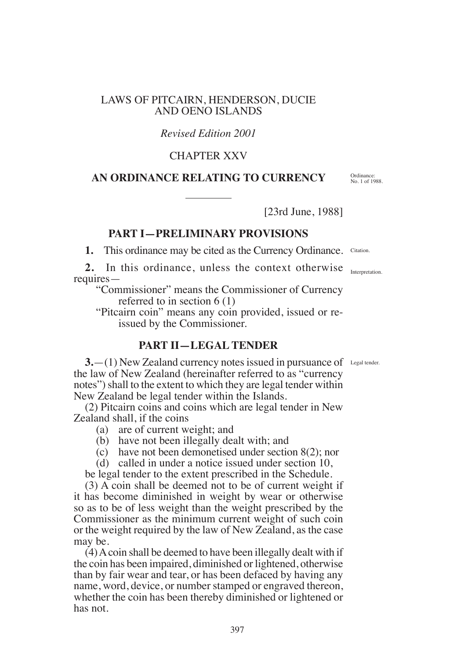#### LAWS OF PITCAIRN, HENDERSON, DUCIE AND OENO ISLANDS

## *Revised Edition 2001*

# CHAPTER XXV

### **AN ORDINANCE RELATING TO CURRENCY**

[23rd June, 1988]

## **PART I—PRELIMINARY PROVISIONS**

1. This ordinance may be cited as the Currency Ordinance. Citation.

2. In this ordinance, unless the context otherwise **Interpretation** requires—

"Commissioner" means the Commissioner of Currency referred to in section 6 (1)

"Pitcairn coin" means any coin provided, issued or reissued by the Commissioner.

## **PART II—LEGAL TENDER**

**3.** - (1) New Zealand currency notes issued in pursuance of Legal tender. the law of New Zealand (hereinafter referred to as "currency notes") shall to the extent to which they are legal tender within New Zealand be legal tender within the Islands.

(2) Pitcairn coins and coins which are legal tender in New Zealand shall, if the coins

- (a) are of current weight; and
- (b) have not been illegally dealt with; and
- (c) have not been demonetised under section 8(2); nor
- (d) called in under a notice issued under section 10,

be legal tender to the extent prescribed in the Schedule.

(3) A coin shall be deemed not to be of current weight if it has become diminished in weight by wear or otherwise so as to be of less weight than the weight prescribed by the Commissioner as the minimum current weight of such coin or the weight required by the law of New Zealand, as the case may be.

(4) A coin shall be deemed to have been illegally dealt with if the coin has been impaired, diminished or lightened, otherwise than by fair wear and tear, or has been defaced by having any name, word, device, or number stamped or engraved thereon, whether the coin has been thereby diminished or lightened or has not.

Ordinance: No. 1 of 1988.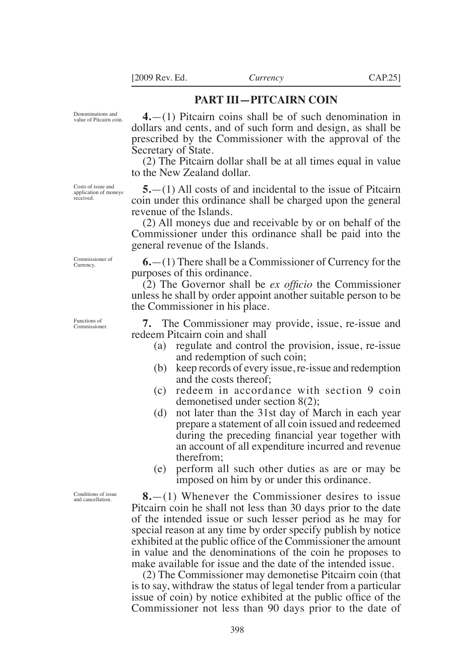#### **PART III—PITCAIRN COIN**

Denominations and value of Pitcairn coin.

**4.**—(1) Pitcairn coins shall be of such denomination in dollars and cents, and of such form and design, as shall be prescribed by the Commissioner with the approval of the Secretary of State.

(2) The Pitcairn dollar shall be at all times equal in value to the New Zealand dollar.

**5.**—(1) All costs of and incidental to the issue of Pitcairn coin under this ordinance shall be charged upon the general revenue of the Islands.

(2) All moneys due and receivable by or on behalf of the Commissioner under this ordinance shall be paid into the general revenue of the Islands.

**6.**—(1) There shall be a Commissioner of Currency for the purposes of this ordinance.

(2) The Governor shall be *ex oficio* the Commissioner unless he shall by order appoint another suitable person to be the Commissioner in his place.

**7.** The Commissioner may provide, issue, re-issue and redeem Pitcairn coin and shall

- (a) regulate and control the provision, issue, re-issue and redemption of such coin;
- (b) keep records of every issue, re-issue and redemption and the costs thereof;
- (c) redeem in accordance with section 9 coin demonetised under section 8(2);
- (d) not later than the 31st day of March in each year prepare a statement of all coin issued and redeemed during the preceding financial year together with an account of all expenditure incurred and revenue therefrom;
- (e) perform all such other duties as are or may be imposed on him by or under this ordinance.

**8.**—(1) Whenever the Commissioner desires to issue Pitcairn coin he shall not less than 30 days prior to the date of the intended issue or such lesser period as he may for special reason at any time by order specify publish by notice exhibited at the public ofice of the Commissioner the amount in value and the denominations of the coin he proposes to make available for issue and the date of the intended issue.

(2) The Commissioner may demonetise Pitcairn coin (that is to say, withdraw the status of legal tender from a particular issue of coin) by notice exhibited at the public ofice of the Commissioner not less than 90 days prior to the date of

Costs of issue and application of moneys received.

Functions of Commissioner.

Commissioner of Currency.

Conditions of issue and cancellation.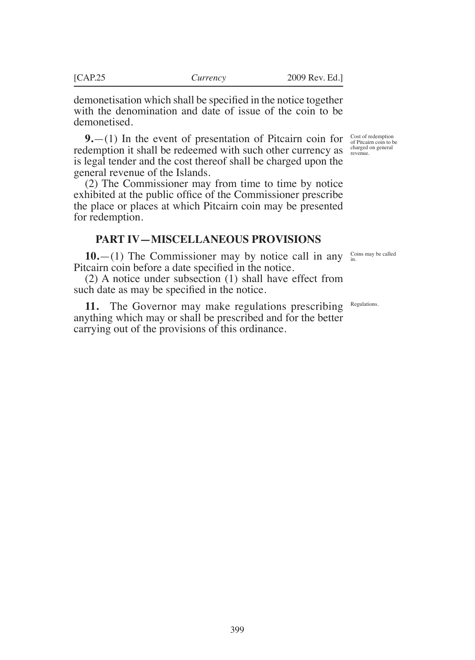demonetisation which shall be specified in the notice together with the denomination and date of issue of the coin to be demonetised.

**9.**—(1) In the event of presentation of Pitcairn coin for redemption it shall be redeemed with such other currency as is legal tender and the cost thereof shall be charged upon the general revenue of the Islands.

(2) The Commissioner may from time to time by notice exhibited at the public ofice of the Commissioner prescribe the place or places at which Pitcairn coin may be presented for redemption.

#### **PART IV—MISCELLANEOUS PROVISIONS**

**10.**—(1) The Commissioner may by notice call in any Pitcairn coin before a date specified in the notice.

(2) A notice under subsection (1) shall have effect from such date as may be specified in the notice.

**11.** The Governor may make regulations prescribing anything which may or shall be prescribed and for the better carrying out of the provisions of this ordinance.

Cost of redemption of Pitcairn coin to be charged on general revenue.

Coins may be called in.

Regulations.